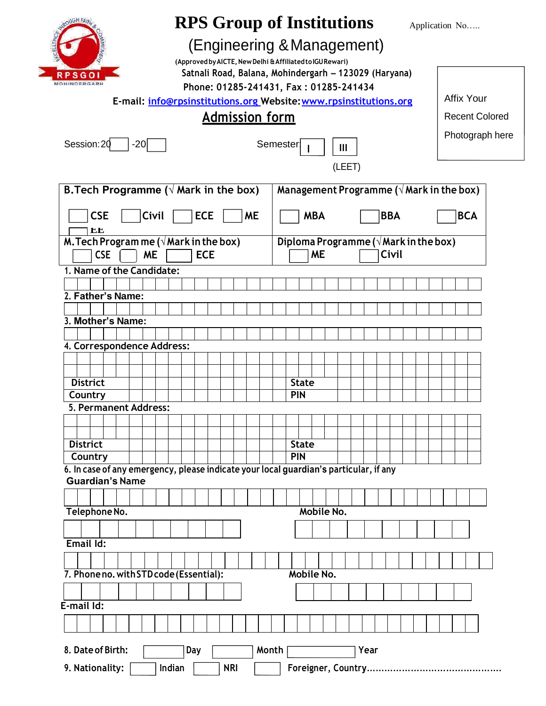| <b>RPS Group of Institutions</b><br>Application No                                                                         |  |  |  |
|----------------------------------------------------------------------------------------------------------------------------|--|--|--|
| (Engineering & Management)                                                                                                 |  |  |  |
| (Approved by AICTE, New Delhi & Affiliated to IGU Rewari)<br>Satnali Road, Balana, Mohindergarh - 123029 (Haryana)<br>PSGO |  |  |  |
| <b>MOHINDERGARH</b><br>Phone: 01285-241431, Fax: 01285-241434                                                              |  |  |  |
| <b>Affix Your</b><br>E-mail: info@rpsinstitutions.org Website: www.rpsinstitutions.org                                     |  |  |  |
| <b>Admission form</b><br><b>Recent Colored</b>                                                                             |  |  |  |
| Photograph here                                                                                                            |  |  |  |
| Session: 20<br>$-20$<br>Semester<br>$\mathbf{III}$                                                                         |  |  |  |
| (LEET)                                                                                                                     |  |  |  |
| B. Tech Programme ( $\sqrt{ }$ Mark in the box)<br>Management Programme ( $\sqrt{M}$ ark in the box)                       |  |  |  |
| <b>CSE</b><br>Civil<br><b>ECE</b><br><b>ME</b><br><b>BBA</b><br><b>BCA</b><br><b>MBA</b><br>EЕ                             |  |  |  |
| M. Tech Program me $(\sqrt{Mark}$ in the box)<br>Diploma Programme ( $\sqrt{M}$ ark in the box)                            |  |  |  |
| <b>CSE</b><br><b>ME</b><br><b>ECE</b><br><b>ME</b><br>Civil                                                                |  |  |  |
| 1. Name of the Candidate:                                                                                                  |  |  |  |
| 2. Father's Name:                                                                                                          |  |  |  |
|                                                                                                                            |  |  |  |
| 3. Mother's Name:                                                                                                          |  |  |  |
| 4. Correspondence Address:                                                                                                 |  |  |  |
|                                                                                                                            |  |  |  |
|                                                                                                                            |  |  |  |
| <b>District</b><br><b>State</b><br>Country<br><b>PIN</b>                                                                   |  |  |  |
| 5. Permanent Address:                                                                                                      |  |  |  |
|                                                                                                                            |  |  |  |
| <b>District</b><br><b>State</b>                                                                                            |  |  |  |
| <b>PIN</b><br>Country                                                                                                      |  |  |  |
| 6. In case of any emergency, please indicate your local guardian's particular, if any<br><b>Guardian's Name</b>            |  |  |  |
|                                                                                                                            |  |  |  |
| Mobile No.<br>Telephone No.                                                                                                |  |  |  |
|                                                                                                                            |  |  |  |
| Email Id:                                                                                                                  |  |  |  |
|                                                                                                                            |  |  |  |
| 7. Phone no. with STD code (Essential):<br>Mobile No.                                                                      |  |  |  |
|                                                                                                                            |  |  |  |
| E-mail Id:                                                                                                                 |  |  |  |
|                                                                                                                            |  |  |  |
|                                                                                                                            |  |  |  |
| 8. Date of Birth:<br>Day<br>Month<br>Year                                                                                  |  |  |  |
| 9. Nationality:<br><b>NRI</b><br>Indian                                                                                    |  |  |  |